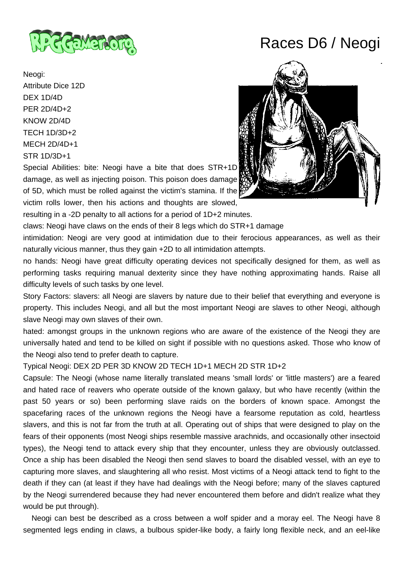

Neogi: Attribute Dice 12D DEX 1D/4D PER 2D/4D+2 KNOW 2D/4D TECH 1D/3D+2 MECH 2D/4D+1 STR 1D/3D+1

Special Abilities: bite: Neogi have a bite that does STR+1D damage, as well as injecting poison. This poison does damage of 5D, which must be rolled against the victim's stamina. If the

victim rolls lower, then his actions and thoughts are slowed,

resulting in a -2D penalty to all actions for a period of 1D+2 minutes.

claws: Neogi have claws on the ends of their 8 legs which do STR+1 damage

intimidation: Neogi are very good at intimidation due to their ferocious appearances, as well as their naturally vicious manner, thus they gain +2D to all intimidation attempts.

no hands: Neogi have great difficulty operating devices not specifically designed for them, as well as performing tasks requiring manual dexterity since they have nothing approximating hands. Raise all difficulty levels of such tasks by one level.

Story Factors: slavers: all Neogi are slavers by nature due to their belief that everything and everyone is property. This includes Neogi, and all but the most important Neogi are slaves to other Neogi, although slave Neogi may own slaves of their own.

hated: amongst groups in the unknown regions who are aware of the existence of the Neogi they are universally hated and tend to be killed on sight if possible with no questions asked. Those who know of the Neogi also tend to prefer death to capture.

## Typical Neogi: DEX 2D PER 3D KNOW 2D TECH 1D+1 MECH 2D STR 1D+2

Capsule: The Neogi (whose name literally translated means 'small lords' or 'little masters') are a feared and hated race of reavers who operate outside of the known galaxy, but who have recently (within the past 50 years or so) been performing slave raids on the borders of known space. Amongst the spacefaring races of the unknown regions the Neogi have a fearsome reputation as cold, heartless slavers, and this is not far from the truth at all. Operating out of ships that were designed to play on the fears of their opponents (most Neogi ships resemble massive arachnids, and occasionally other insectoid types), the Neogi tend to attack every ship that they encounter, unless they are obviously outclassed. Once a ship has been disabled the Neogi then send slaves to board the disabled vessel, with an eve to capturing more slaves, and slaughtering all who resist. Most victims of a Neogi attack tend to fight to the death if they can (at least if they have had dealings with the Neogi before; many of the slaves captured by the Neogi surrendered because they had never encountered them before and didn't realize what they would be put through).

 Neogi can best be described as a cross between a wolf spider and a moray eel. The Neogi have 8 segmented legs ending in claws, a bulbous spider-like body, a fairly long flexible neck, and an eel-like

## Races D6 / Neogi

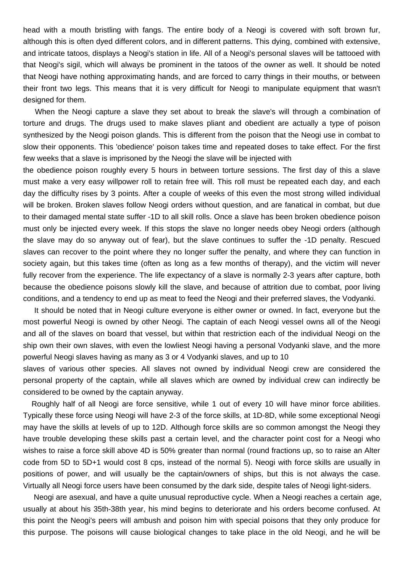head with a mouth bristling with fangs. The entire body of a Neogi is covered with soft brown fur, although this is often dyed different colors, and in different patterns. This dying, combined with extensive, and intricate tatoos, displays a Neogi's station in life. All of a Neogi's personal slaves will be tattooed with that Neogi's sigil, which will always be prominent in the tatoos of the owner as well. It should be noted that Neogi have nothing approximating hands, and are forced to carry things in their mouths, or between their front two legs. This means that it is very difficult for Neogi to manipulate equipment that wasn't designed for them.

 When the Neogi capture a slave they set about to break the slave's will through a combination of torture and drugs. The drugs used to make slaves pliant and obedient are actually a type of poison synthesized by the Neogi poison glands. This is different from the poison that the Neogi use in combat to slow their opponents. This 'obedience' poison takes time and repeated doses to take effect. For the first few weeks that a slave is imprisoned by the Neogi the slave will be injected with

the obedience poison roughly every 5 hours in between torture sessions. The first day of this a slave must make a very easy willpower roll to retain free will. This roll must be repeated each day, and each day the difficulty rises by 3 points. After a couple of weeks of this even the most strong willed individual will be broken. Broken slaves follow Neogi orders without question, and are fanatical in combat, but due to their damaged mental state suffer -1D to all skill rolls. Once a slave has been broken obedience poison must only be injected every week. If this stops the slave no longer needs obey Neogi orders (although the slave may do so anyway out of fear), but the slave continues to suffer the -1D penalty. Rescued slaves can recover to the point where they no longer suffer the penalty, and where they can function in society again, but this takes time (often as long as a few months of therapy), and the victim will never fully recover from the experience. The life expectancy of a slave is normally 2-3 years after capture, both because the obedience poisons slowly kill the slave, and because of attrition due to combat, poor living conditions, and a tendency to end up as meat to feed the Neogi and their preferred slaves, the Vodyanki.

 It should be noted that in Neogi culture everyone is either owner or owned. In fact, everyone but the most powerful Neogi is owned by other Neogi. The captain of each Neogi vessel owns all of the Neogi and all of the slaves on board that vessel, but within that restriction each of the individual Neogi on the ship own their own slaves, with even the lowliest Neogi having a personal Vodyanki slave, and the more powerful Neogi slaves having as many as 3 or 4 Vodyanki slaves, and up to 10

slaves of various other species. All slaves not owned by individual Neogi crew are considered the personal property of the captain, while all slaves which are owned by individual crew can indirectly be considered to be owned by the captain anyway.

 Roughly half of all Neogi are force sensitive, while 1 out of every 10 will have minor force abilities. Typically these force using Neogi will have 2-3 of the force skills, at 1D-8D, while some exceptional Neogi may have the skills at levels of up to 12D. Although force skills are so common amongst the Neogi they have trouble developing these skills past a certain level, and the character point cost for a Neogi who wishes to raise a force skill above 4D is 50% greater than normal (round fractions up, so to raise an Alter code from 5D to 5D+1 would cost 8 cps, instead of the normal 5). Neogi with force skills are usually in positions of power, and will usually be the captain/owners of ships, but this is not always the case. Virtually all Neogi force users have been consumed by the dark side, despite tales of Neogi light-siders.

 Neogi are asexual, and have a quite unusual reproductive cycle. When a Neogi reaches a certain age, usually at about his 35th-38th year, his mind begins to deteriorate and his orders become confused. At this point the Neogi's peers will ambush and poison him with special poisons that they only produce for this purpose. The poisons will cause biological changes to take place in the old Neogi, and he will be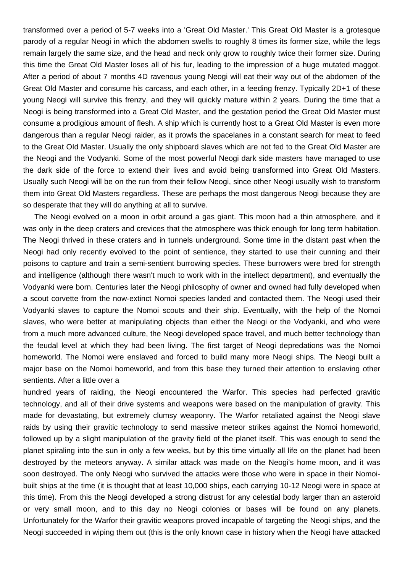transformed over a period of 5-7 weeks into a 'Great Old Master.' This Great Old Master is a grotesque parody of a regular Neogi in which the abdomen swells to roughly 8 times its former size, while the legs remain largely the same size, and the head and neck only grow to roughly twice their former size. During this time the Great Old Master loses all of his fur, leading to the impression of a huge mutated maggot. After a period of about 7 months 4D ravenous young Neogi will eat their way out of the abdomen of the Great Old Master and consume his carcass, and each other, in a feeding frenzy. Typically 2D+1 of these young Neogi will survive this frenzy, and they will quickly mature within 2 years. During the time that a Neogi is being transformed into a Great Old Master, and the gestation period the Great Old Master must consume a prodigious amount of flesh. A ship which is currently host to a Great Old Master is even more dangerous than a regular Neogi raider, as it prowls the spacelanes in a constant search for meat to feed to the Great OId Master. Usually the only shipboard slaves which are not fed to the Great Old Master are the Neogi and the Vodyanki. Some of the most powerful Neogi dark side masters have managed to use the dark side of the force to extend their lives and avoid being transformed into Great Old Masters. Usually such Neogi will be on the run from their fellow Neogi, since other Neogi usually wish to transform them into Great Old Masters regardless. These are perhaps the most dangerous Neogi because they are so desperate that they will do anything at all to survive.

 The Neogi evolved on a moon in orbit around a gas giant. This moon had a thin atmosphere, and it was only in the deep craters and crevices that the atmosphere was thick enough for long term habitation. The Neogi thrived in these craters and in tunnels underground. Some time in the distant past when the Neogi had only recently evolved to the point of sentience, they started to use their cunning and their poisons to capture and train a semi-sentient burrowing species. These burrowers were bred for strength and intelligence (although there wasn't much to work with in the intellect department), and eventually the Vodyanki were born. Centuries later the Neogi philosophy of owner and owned had fully developed when a scout corvette from the now-extinct Nomoi species landed and contacted them. The Neogi used their Vodyanki slaves to capture the Nomoi scouts and their ship. Eventually, with the help of the Nomoi slaves, who were better at manipulating objects than either the Neogi or the Vodyanki, and who were from a much more advanced culture, the Neogi developed space travel, and much better technology than the feudal level at which they had been living. The first target of Neogi depredations was the Nomoi homeworld. The Nomoi were enslaved and forced to build many more Neogi ships. The Neogi built a major base on the Nomoi homeworld, and from this base they turned their attention to enslaving other sentients. After a little over a

hundred years of raiding, the Neogi encountered the Warfor. This species had perfected gravitic technology, and all of their drive systems and weapons were based on the manipulation of gravity. This made for devastating, but extremely clumsy weaponry. The Warfor retaliated against the Neogi slave raids by using their gravitic technology to send massive meteor strikes against the Nomoi homeworld, followed up by a slight manipulation of the gravity field of the planet itself. This was enough to send the planet spiraling into the sun in only a few weeks, but by this time virtually all life on the planet had been destroyed by the meteors anyway. A similar attack was made on the Neogi's home moon, and it was soon destroyed. The only Neogi who survived the attacks were those who were in space in their Nomoibuilt ships at the time (it is thought that at least 10,000 ships, each carrying 10-12 Neogi were in space at this time). From this the Neogi developed a strong distrust for any celestial body larger than an asteroid or very small moon, and to this day no Neogi colonies or bases will be found on any planets. Unfortunately for the Warfor their gravitic weapons proved incapable of targeting the Neogi ships, and the Neogi succeeded in wiping them out (this is the only known case in history when the Neogi have attacked